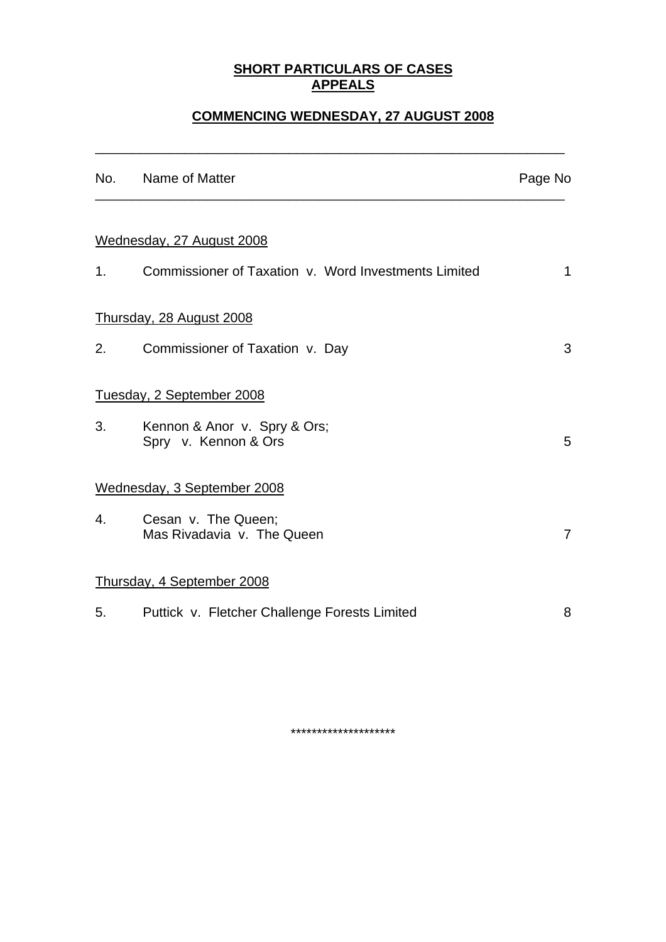### **SHORT PARTICULARS OF CASES APPEALS**

# **COMMENCING WEDNESDAY, 27 AUGUST 2008**

\_\_\_\_\_\_\_\_\_\_\_\_\_\_\_\_\_\_\_\_\_\_\_\_\_\_\_\_\_\_\_\_\_\_\_\_\_\_\_\_\_\_\_\_\_\_\_\_\_\_\_\_\_\_\_\_\_\_\_\_\_\_\_

|                | No. Name of Matter                                   | Page No        |
|----------------|------------------------------------------------------|----------------|
|                |                                                      |                |
|                | Wednesday, 27 August 2008                            |                |
| 1 <sub>1</sub> | Commissioner of Taxation v. Word Investments Limited | $\mathbf 1$    |
|                | Thursday, 28 August 2008                             |                |
| 2.             | Commissioner of Taxation v. Day                      | 3              |
|                | Tuesday, 2 September 2008                            |                |
| 3.             | Kennon & Anor v. Spry & Ors;<br>Spry v. Kennon & Ors | 5              |
|                | Wednesday, 3 September 2008                          |                |
| 4.             | Cesan v. The Queen;<br>Mas Rivadavia v. The Queen    | $\overline{7}$ |
|                | Thursday, 4 September 2008                           |                |
|                | 5. Puttick v. Fletcher Challenge Forests Limited     | 8              |
|                |                                                      |                |

\*\*\*\*\*\*\*\*\*\*\*\*\*\*\*\*\*\*\*\*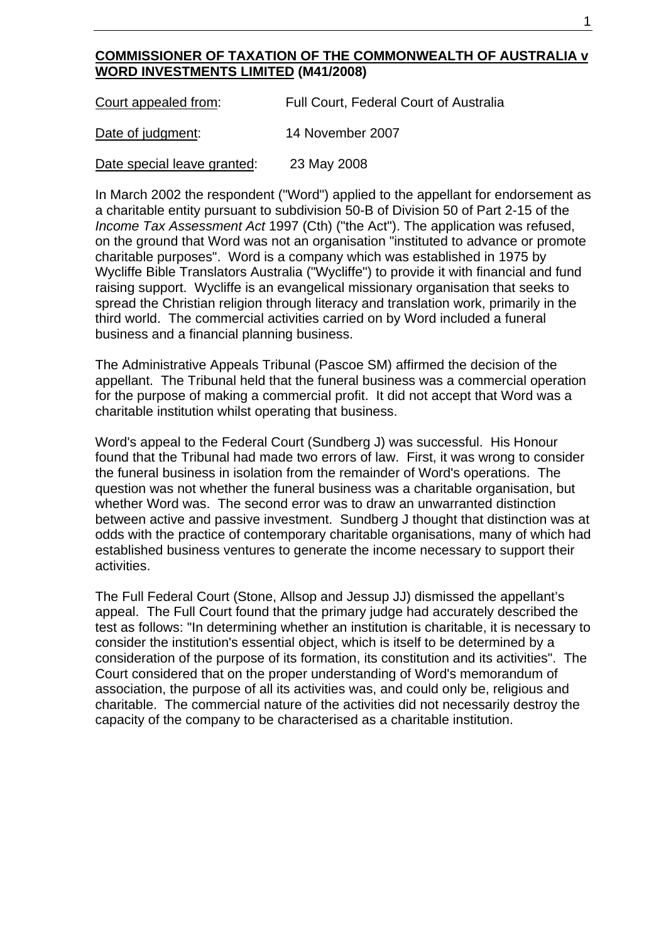### **COMMISSIONER OF TAXATION OF THE COMMONWEALTH OF AUSTRALIA v WORD INVESTMENTS LIMITED (M41/2008)**

| Court appealed from: | Full Court, Federal Court of Australia |
|----------------------|----------------------------------------|
| Date of judgment:    | 14 November 2007                       |

Date special leave granted: 23 May 2008

In March 2002 the respondent ("Word") applied to the appellant for endorsement as a charitable entity pursuant to subdivision 50-B of Division 50 of Part 2-15 of the *Income Tax Assessment Act* 1997 (Cth) ("the Act"). The application was refused, on the ground that Word was not an organisation "instituted to advance or promote charitable purposes". Word is a company which was established in 1975 by Wycliffe Bible Translators Australia ("Wycliffe") to provide it with financial and fund raising support. Wycliffe is an evangelical missionary organisation that seeks to spread the Christian religion through literacy and translation work, primarily in the third world. The commercial activities carried on by Word included a funeral business and a financial planning business.

The Administrative Appeals Tribunal (Pascoe SM) affirmed the decision of the appellant. The Tribunal held that the funeral business was a commercial operation for the purpose of making a commercial profit. It did not accept that Word was a charitable institution whilst operating that business.

Word's appeal to the Federal Court (Sundberg J) was successful. His Honour found that the Tribunal had made two errors of law. First, it was wrong to consider the funeral business in isolation from the remainder of Word's operations. The question was not whether the funeral business was a charitable organisation, but whether Word was. The second error was to draw an unwarranted distinction between active and passive investment. Sundberg J thought that distinction was at odds with the practice of contemporary charitable organisations, many of which had established business ventures to generate the income necessary to support their activities.

The Full Federal Court (Stone, Allsop and Jessup JJ) dismissed the appellant's appeal. The Full Court found that the primary judge had accurately described the test as follows: "In determining whether an institution is charitable, it is necessary to consider the institution's essential object, which is itself to be determined by a consideration of the purpose of its formation, its constitution and its activities". The Court considered that on the proper understanding of Word's memorandum of association, the purpose of all its activities was, and could only be, religious and charitable. The commercial nature of the activities did not necessarily destroy the capacity of the company to be characterised as a charitable institution.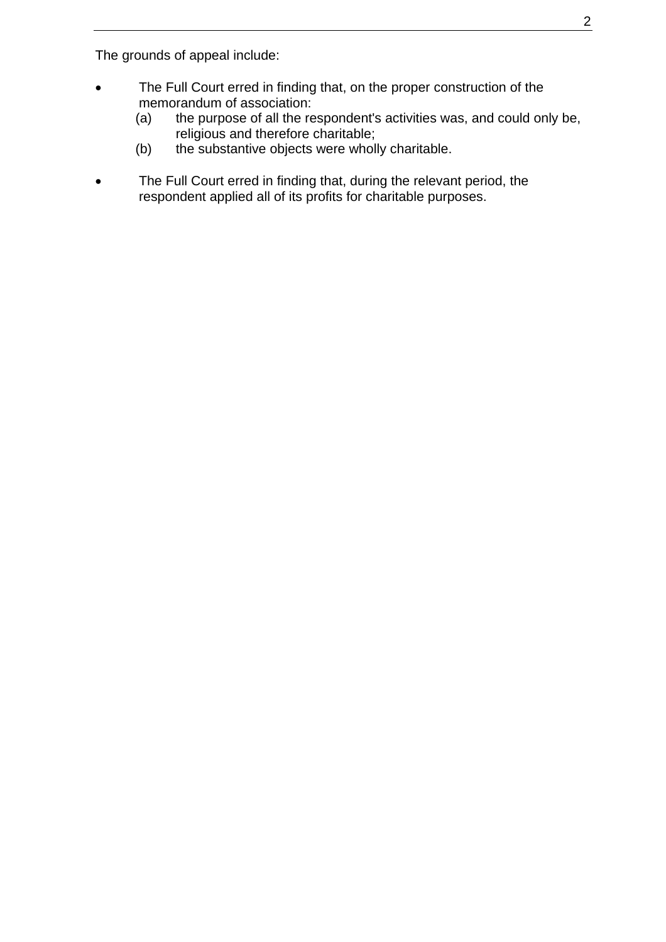The grounds of appeal include:

- The Full Court erred in finding that, on the proper construction of the memorandum of association:
	- (a) the purpose of all the respondent's activities was, and could only be, religious and therefore charitable;
	- (b) the substantive objects were wholly charitable.
- The Full Court erred in finding that, during the relevant period, the respondent applied all of its profits for charitable purposes.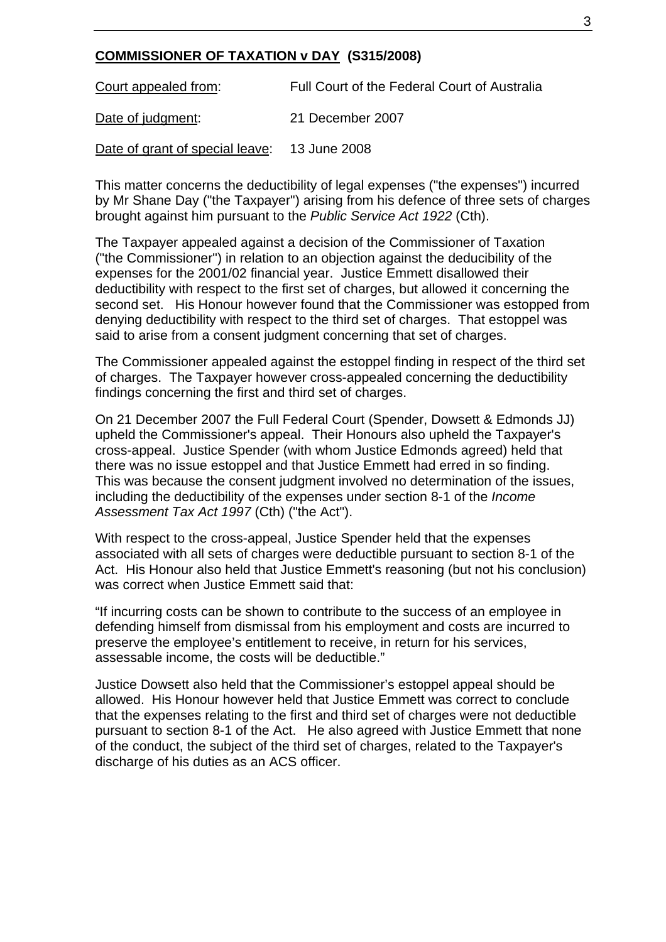### **COMMISSIONER OF TAXATION v DAY (S315/2008)**

Court appealed from: Full Court of the Federal Court of Australia Date of judgment: 21 December 2007 Date of grant of special leave: 13 June 2008

This matter concerns the deductibility of legal expenses ("the expenses") incurred by Mr Shane Day ("the Taxpayer") arising from his defence of three sets of charges brought against him pursuant to the *Public Service Act 1922* (Cth).

The Taxpayer appealed against a decision of the Commissioner of Taxation ("the Commissioner") in relation to an objection against the deducibility of the expenses for the 2001/02 financial year. Justice Emmett disallowed their deductibility with respect to the first set of charges, but allowed it concerning the second set. His Honour however found that the Commissioner was estopped from denying deductibility with respect to the third set of charges. That estoppel was said to arise from a consent judgment concerning that set of charges.

The Commissioner appealed against the estoppel finding in respect of the third set of charges. The Taxpayer however cross-appealed concerning the deductibility findings concerning the first and third set of charges.

On 21 December 2007 the Full Federal Court (Spender, Dowsett & Edmonds JJ) upheld the Commissioner's appeal. Their Honours also upheld the Taxpayer's cross-appeal. Justice Spender (with whom Justice Edmonds agreed) held that there was no issue estoppel and that Justice Emmett had erred in so finding. This was because the consent judgment involved no determination of the issues, including the deductibility of the expenses under section 8-1 of the *Income Assessment Tax Act 1997* (Cth) ("the Act").

With respect to the cross-appeal, Justice Spender held that the expenses associated with all sets of charges were deductible pursuant to section 8-1 of the Act. His Honour also held that Justice Emmett's reasoning (but not his conclusion) was correct when Justice Emmett said that:

"If incurring costs can be shown to contribute to the success of an employee in defending himself from dismissal from his employment and costs are incurred to preserve the employee's entitlement to receive, in return for his services, assessable income, the costs will be deductible."

Justice Dowsett also held that the Commissioner's estoppel appeal should be allowed. His Honour however held that Justice Emmett was correct to conclude that the expenses relating to the first and third set of charges were not deductible pursuant to section 8-1 of the Act. He also agreed with Justice Emmett that none of the conduct, the subject of the third set of charges, related to the Taxpayer's discharge of his duties as an ACS officer.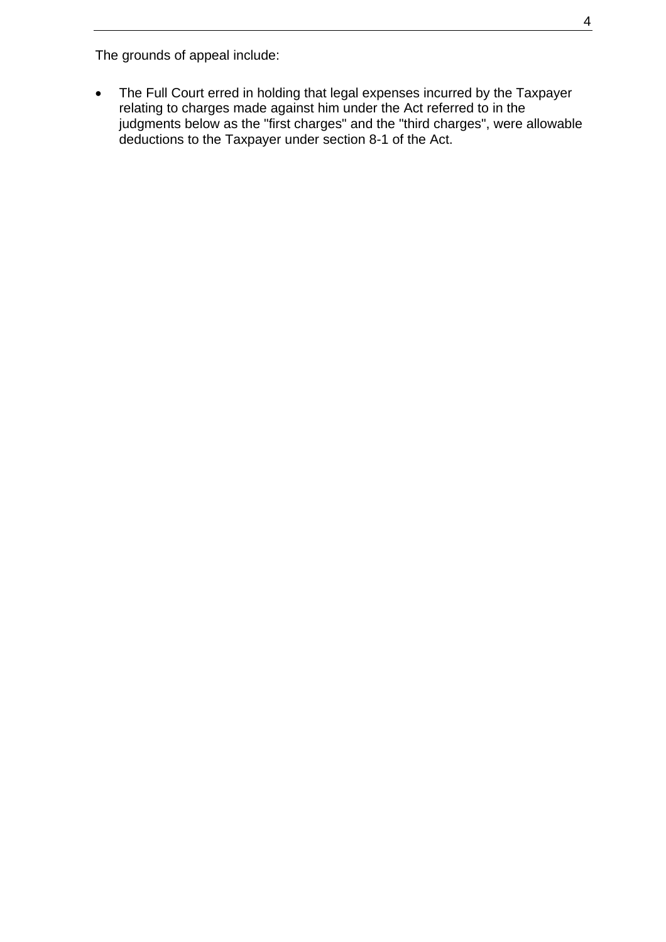The grounds of appeal include:

• The Full Court erred in holding that legal expenses incurred by the Taxpayer relating to charges made against him under the Act referred to in the judgments below as the "first charges" and the "third charges", were allowable deductions to the Taxpayer under section 8-1 of the Act.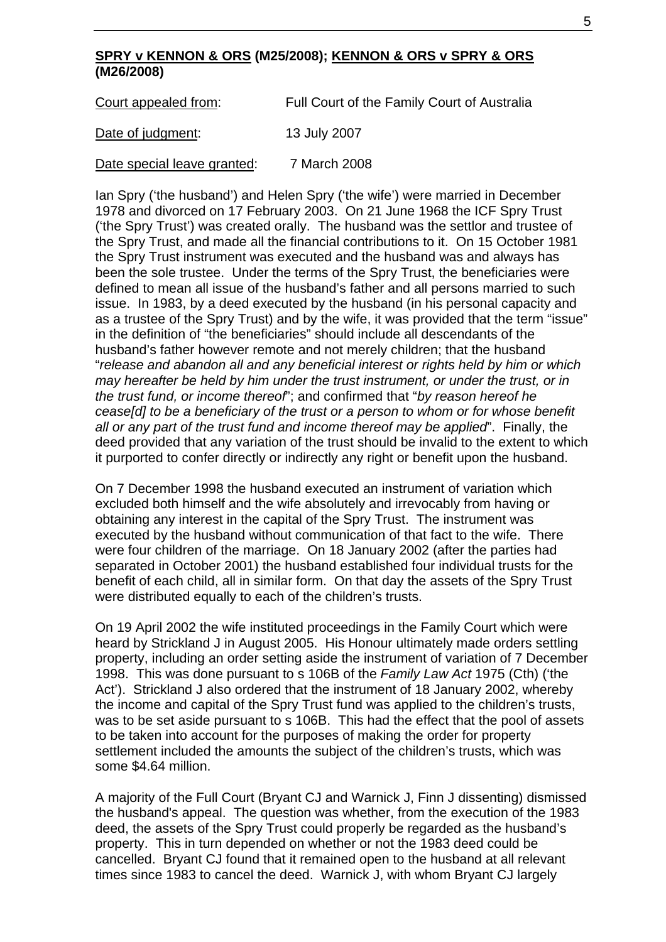#### **SPRY v KENNON & ORS (M25/2008); KENNON & ORS v SPRY & ORS (M26/2008)**

| Court appealed from:        | Full Court of the Family Court of Australia |  |
|-----------------------------|---------------------------------------------|--|
| Date of judgment:           | 13 July 2007                                |  |
| Date special leave granted: | 7 March 2008                                |  |

Ian Spry ('the husband') and Helen Spry ('the wife') were married in December 1978 and divorced on 17 February 2003. On 21 June 1968 the ICF Spry Trust ('the Spry Trust') was created orally. The husband was the settlor and trustee of the Spry Trust, and made all the financial contributions to it. On 15 October 1981 the Spry Trust instrument was executed and the husband was and always has been the sole trustee. Under the terms of the Spry Trust, the beneficiaries were defined to mean all issue of the husband's father and all persons married to such issue. In 1983, by a deed executed by the husband (in his personal capacity and as a trustee of the Spry Trust) and by the wife, it was provided that the term "issue" in the definition of "the beneficiaries" should include all descendants of the husband's father however remote and not merely children; that the husband "*release and abandon all and any beneficial interest or rights held by him or which may hereafter be held by him under the trust instrument, or under the trust, or in the trust fund, or income thereof*"; and confirmed that "*by reason hereof he cease[d] to be a beneficiary of the trust or a person to whom or for whose benefit all or any part of the trust fund and income thereof may be applied*". Finally, the deed provided that any variation of the trust should be invalid to the extent to which it purported to confer directly or indirectly any right or benefit upon the husband.

On 7 December 1998 the husband executed an instrument of variation which excluded both himself and the wife absolutely and irrevocably from having or obtaining any interest in the capital of the Spry Trust. The instrument was executed by the husband without communication of that fact to the wife. There were four children of the marriage. On 18 January 2002 (after the parties had separated in October 2001) the husband established four individual trusts for the benefit of each child, all in similar form. On that day the assets of the Spry Trust were distributed equally to each of the children's trusts.

On 19 April 2002 the wife instituted proceedings in the Family Court which were heard by Strickland J in August 2005. His Honour ultimately made orders settling property, including an order setting aside the instrument of variation of 7 December 1998. This was done pursuant to s 106B of the *Family Law Act* 1975 (Cth) ('the Act'). Strickland J also ordered that the instrument of 18 January 2002, whereby the income and capital of the Spry Trust fund was applied to the children's trusts, was to be set aside pursuant to s 106B. This had the effect that the pool of assets to be taken into account for the purposes of making the order for property settlement included the amounts the subject of the children's trusts, which was some \$4.64 million.

A majority of the Full Court (Bryant CJ and Warnick J, Finn J dissenting) dismissed the husband's appeal. The question was whether, from the execution of the 1983 deed, the assets of the Spry Trust could properly be regarded as the husband's property. This in turn depended on whether or not the 1983 deed could be cancelled. Bryant CJ found that it remained open to the husband at all relevant times since 1983 to cancel the deed. Warnick J, with whom Bryant CJ largely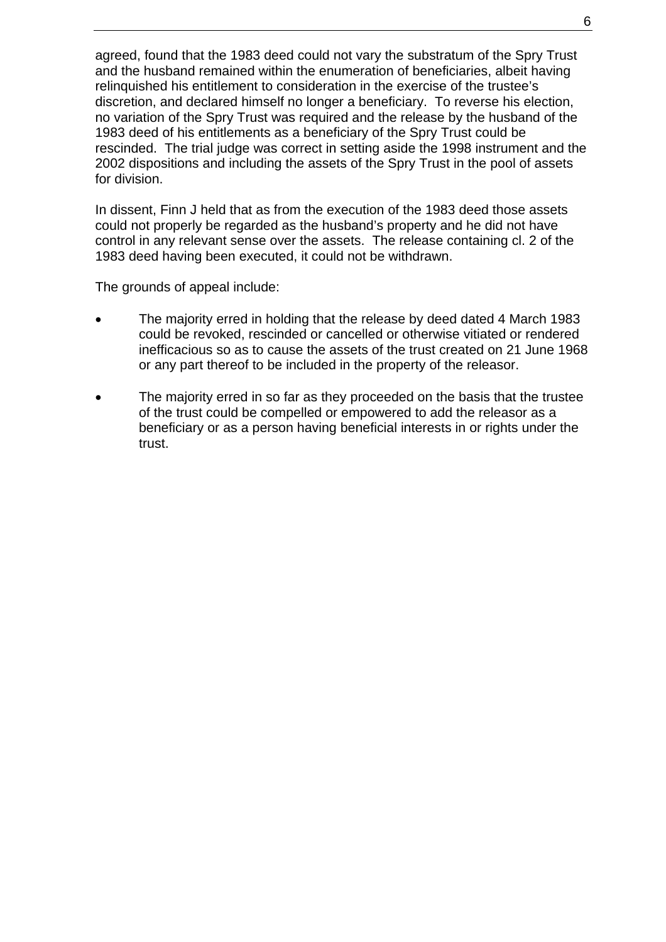agreed, found that the 1983 deed could not vary the substratum of the Spry Trust and the husband remained within the enumeration of beneficiaries, albeit having relinquished his entitlement to consideration in the exercise of the trustee's discretion, and declared himself no longer a beneficiary. To reverse his election, no variation of the Spry Trust was required and the release by the husband of the 1983 deed of his entitlements as a beneficiary of the Spry Trust could be rescinded. The trial judge was correct in setting aside the 1998 instrument and the 2002 dispositions and including the assets of the Spry Trust in the pool of assets for division.

In dissent, Finn J held that as from the execution of the 1983 deed those assets could not properly be regarded as the husband's property and he did not have control in any relevant sense over the assets. The release containing cl. 2 of the 1983 deed having been executed, it could not be withdrawn.

The grounds of appeal include:

- The majority erred in holding that the release by deed dated 4 March 1983 could be revoked, rescinded or cancelled or otherwise vitiated or rendered inefficacious so as to cause the assets of the trust created on 21 June 1968 or any part thereof to be included in the property of the releasor.
- The majority erred in so far as they proceeded on the basis that the trustee of the trust could be compelled or empowered to add the releasor as a beneficiary or as a person having beneficial interests in or rights under the trust.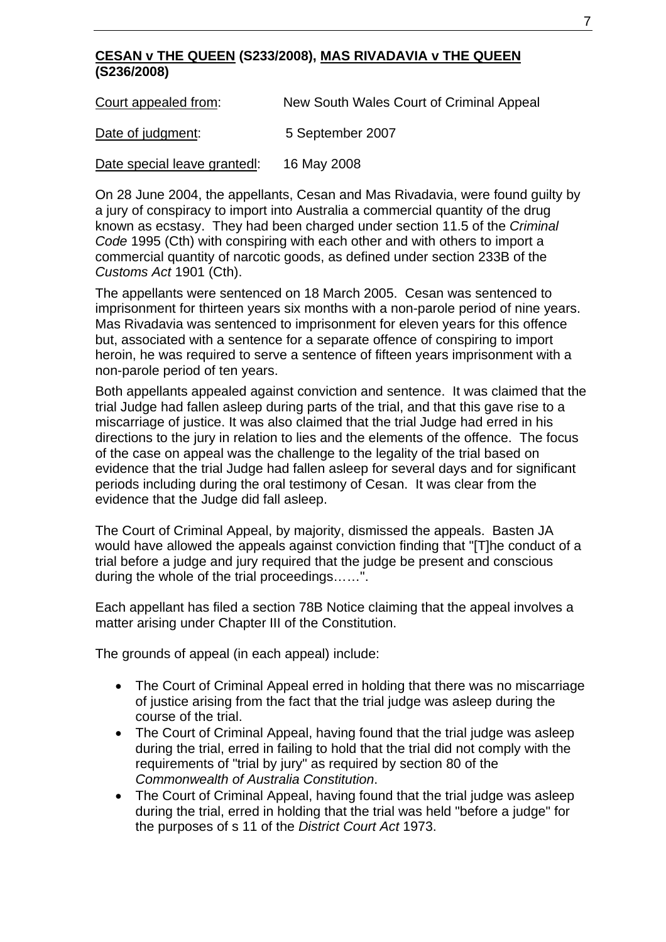## **CESAN v THE QUEEN (S233/2008), MAS RIVADAVIA v THE QUEEN (S236/2008)**

Court appealed from: New South Wales Court of Criminal Appeal

Date of judgment: 5 September 2007

Date special leave grantedl: 16 May 2008

On 28 June 2004, the appellants, Cesan and Mas Rivadavia, were found guilty by a jury of conspiracy to import into Australia a commercial quantity of the drug known as ecstasy. They had been charged under section 11.5 of the *Criminal Code* 1995 (Cth) with conspiring with each other and with others to import a commercial quantity of narcotic goods, as defined under section 233B of the *Customs Act* 1901 (Cth).

The appellants were sentenced on 18 March 2005. Cesan was sentenced to imprisonment for thirteen years six months with a non-parole period of nine years. Mas Rivadavia was sentenced to imprisonment for eleven years for this offence but, associated with a sentence for a separate offence of conspiring to import heroin, he was required to serve a sentence of fifteen years imprisonment with a non-parole period of ten years.

Both appellants appealed against conviction and sentence. It was claimed that the trial Judge had fallen asleep during parts of the trial, and that this gave rise to a miscarriage of justice. It was also claimed that the trial Judge had erred in his directions to the jury in relation to lies and the elements of the offence. The focus of the case on appeal was the challenge to the legality of the trial based on evidence that the trial Judge had fallen asleep for several days and for significant periods including during the oral testimony of Cesan. It was clear from the evidence that the Judge did fall asleep.

The Court of Criminal Appeal, by majority, dismissed the appeals. Basten JA would have allowed the appeals against conviction finding that "[T]he conduct of a trial before a judge and jury required that the judge be present and conscious during the whole of the trial proceedings……".

Each appellant has filed a section 78B Notice claiming that the appeal involves a matter arising under Chapter III of the Constitution.

The grounds of appeal (in each appeal) include:

- The Court of Criminal Appeal erred in holding that there was no miscarriage of justice arising from the fact that the trial judge was asleep during the course of the trial.
- The Court of Criminal Appeal, having found that the trial judge was asleep during the trial, erred in failing to hold that the trial did not comply with the requirements of "trial by jury" as required by section 80 of the *Commonwealth of Australia Constitution*.
- The Court of Criminal Appeal, having found that the trial judge was asleep during the trial, erred in holding that the trial was held "before a judge" for the purposes of s 11 of the *District Court Act* 1973.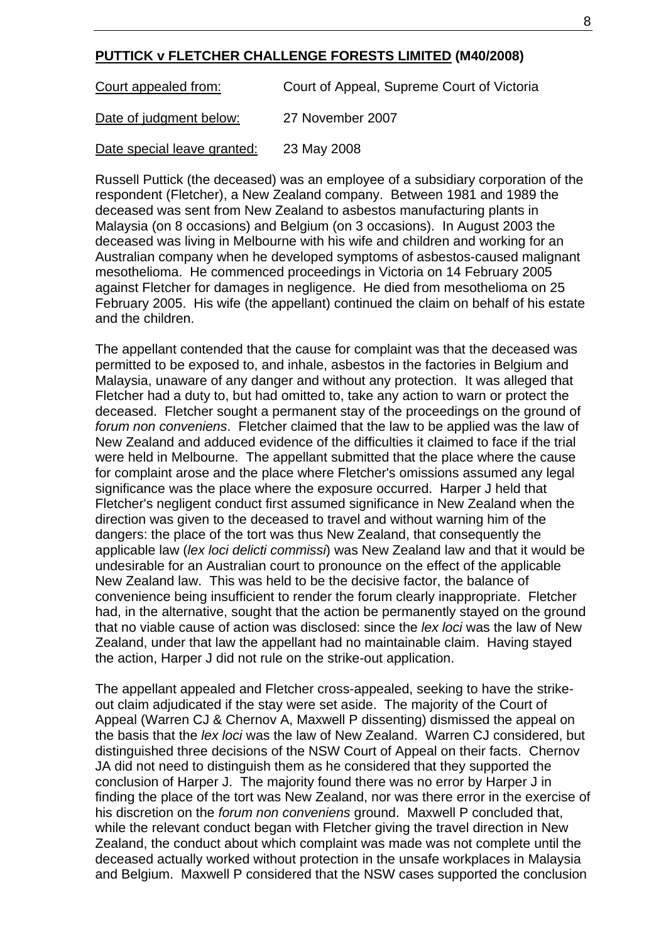### **PUTTICK v FLETCHER CHALLENGE FORESTS LIMITED (M40/2008)**

Court appealed from: Court of Appeal, Supreme Court of Victoria

Date of judgment below: 27 November 2007

Date special leave granted: 23 May 2008

Russell Puttick (the deceased) was an employee of a subsidiary corporation of the respondent (Fletcher), a New Zealand company. Between 1981 and 1989 the deceased was sent from New Zealand to asbestos manufacturing plants in Malaysia (on 8 occasions) and Belgium (on 3 occasions). In August 2003 the deceased was living in Melbourne with his wife and children and working for an Australian company when he developed symptoms of asbestos-caused malignant mesothelioma. He commenced proceedings in Victoria on 14 February 2005 against Fletcher for damages in negligence. He died from mesothelioma on 25 February 2005. His wife (the appellant) continued the claim on behalf of his estate and the children.

The appellant contended that the cause for complaint was that the deceased was permitted to be exposed to, and inhale, asbestos in the factories in Belgium and Malaysia, unaware of any danger and without any protection. It was alleged that Fletcher had a duty to, but had omitted to, take any action to warn or protect the deceased. Fletcher sought a permanent stay of the proceedings on the ground of *forum non conveniens*. Fletcher claimed that the law to be applied was the law of New Zealand and adduced evidence of the difficulties it claimed to face if the trial were held in Melbourne. The appellant submitted that the place where the cause for complaint arose and the place where Fletcher's omissions assumed any legal significance was the place where the exposure occurred. Harper J held that Fletcher's negligent conduct first assumed significance in New Zealand when the direction was given to the deceased to travel and without warning him of the dangers: the place of the tort was thus New Zealand, that consequently the applicable law (*lex loci delicti commissi*) was New Zealand law and that it would be undesirable for an Australian court to pronounce on the effect of the applicable New Zealand law. This was held to be the decisive factor, the balance of convenience being insufficient to render the forum clearly inappropriate. Fletcher had, in the alternative, sought that the action be permanently stayed on the ground that no viable cause of action was disclosed: since the *lex loci* was the law of New Zealand, under that law the appellant had no maintainable claim. Having stayed the action, Harper J did not rule on the strike-out application.

The appellant appealed and Fletcher cross-appealed, seeking to have the strikeout claim adjudicated if the stay were set aside. The majority of the Court of Appeal (Warren CJ & Chernov A, Maxwell P dissenting) dismissed the appeal on the basis that the *lex loci* was the law of New Zealand. Warren CJ considered, but distinguished three decisions of the NSW Court of Appeal on their facts. Chernov JA did not need to distinguish them as he considered that they supported the conclusion of Harper J. The majority found there was no error by Harper J in finding the place of the tort was New Zealand, nor was there error in the exercise of his discretion on the *forum non conveniens* ground. Maxwell P concluded that, while the relevant conduct began with Fletcher giving the travel direction in New Zealand, the conduct about which complaint was made was not complete until the deceased actually worked without protection in the unsafe workplaces in Malaysia and Belgium. Maxwell P considered that the NSW cases supported the conclusion